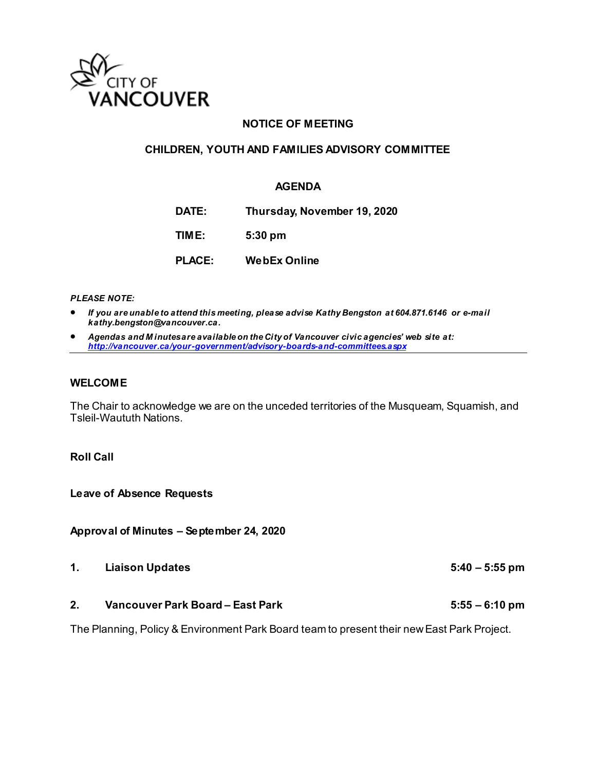

## **NOTICE OF MEETING**

#### **CHILDREN, YOUTH AND FAMILIES ADVISORY COMMITTEE**

#### **AGENDA**

**DATE: Thursday, November 19, 2020 TIME: 5:30 pm PLACE: WebEx Online**

*PLEASE NOTE:*

- *If you are unable to attend this meeting, please advise Kathy Bengston at 604.871.6146 or e-mail kathy.bengston@vancouver.ca.*
- *Agendas and M inutes are available on the City of Vancouver civic agencies' web site at: <http://vancouver.ca/your-government/advisory-boards-and-committees.aspx>*

#### **WELCOME**

The Chair to acknowledge we are on the unceded territories of the Musqueam, Squamish, and Tsleil-Waututh Nations.

## **Roll Call**

**Leave of Absence Requests** 

**Approval of Minutes – September 24, 2020**

- **1. Liaison Updates 5:40 – 5:55 pm**
- **2. Vancouver Park Board – East Park 5:55 – 6:10 pm**

The Planning, Policy & Environment Park Board team to present their new East Park Project.